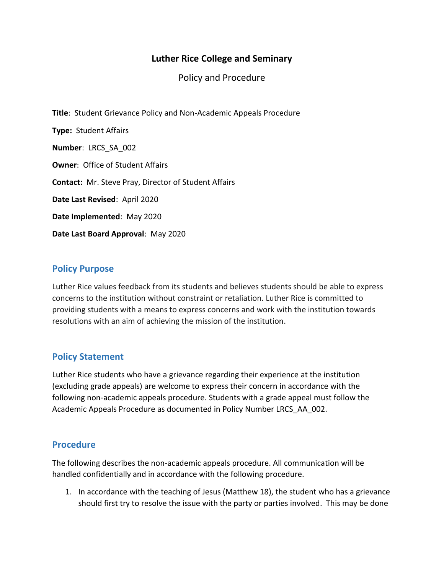# **Luther Rice College and Seminary**

Policy and Procedure

**Title**: Student Grievance Policy and Non-Academic Appeals Procedure **Type:** Student Affairs **Number**: LRCS\_SA\_002 **Owner**: Office of Student Affairs **Contact:** Mr. Steve Pray, Director of Student Affairs **Date Last Revised**: April 2020 **Date Implemented**: May 2020 **Date Last Board Approval**: May 2020

### **Policy Purpose**

Luther Rice values feedback from its students and believes students should be able to express concerns to the institution without constraint or retaliation. Luther Rice is committed to providing students with a means to express concerns and work with the institution towards resolutions with an aim of achieving the mission of the institution.

## **Policy Statement**

Luther Rice students who have a grievance regarding their experience at the institution (excluding grade appeals) are welcome to express their concern in accordance with the following non-academic appeals procedure. Students with a grade appeal must follow the Academic Appeals Procedure as documented in Policy Number LRCS\_AA\_002.

#### **Procedure**

The following describes the non-academic appeals procedure. All communication will be handled confidentially and in accordance with the following procedure.

1. In accordance with the teaching of Jesus (Matthew 18), the student who has a grievance should first try to resolve the issue with the party or parties involved. This may be done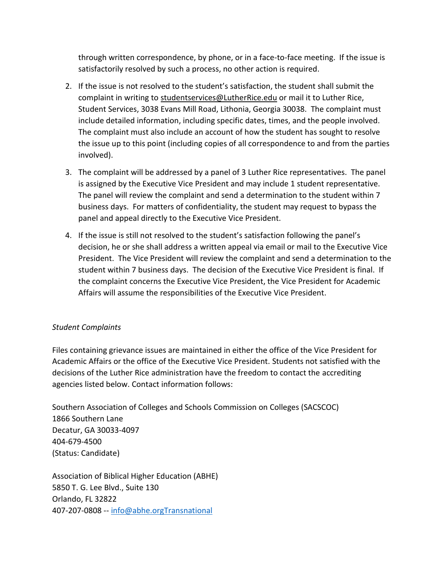through written correspondence, by phone, or in a face-to-face meeting. If the issue is satisfactorily resolved by such a process, no other action is required.

- 2. If the issue is not resolved to the student's satisfaction, the student shall submit the complaint in writing to [studentservices@LutherRice.edu](mailto:studentservices@LutherRice.edu) or mail it to Luther Rice, Student Services, 3038 Evans Mill Road, Lithonia, Georgia 30038. The complaint must include detailed information, including specific dates, times, and the people involved. The complaint must also include an account of how the student has sought to resolve the issue up to this point (including copies of all correspondence to and from the parties involved).
- 3. The complaint will be addressed by a panel of 3 Luther Rice representatives. The panel is assigned by the Executive Vice President and may include 1 student representative. The panel will review the complaint and send a determination to the student within 7 business days. For matters of confidentiality, the student may request to bypass the panel and appeal directly to the Executive Vice President.
- 4. If the issue is still not resolved to the student's satisfaction following the panel's decision, he or she shall address a written appeal via email or mail to the Executive Vice President. The Vice President will review the complaint and send a determination to the student within 7 business days. The decision of the Executive Vice President is final. If the complaint concerns the Executive Vice President, the Vice President for Academic Affairs will assume the responsibilities of the Executive Vice President.

#### *Student Complaints*

Files containing grievance issues are maintained in either the office of the Vice President for Academic Affairs or the office of the Executive Vice President. Students not satisfied with the decisions of the Luther Rice administration have the freedom to contact the accrediting agencies listed below. Contact information follows:

Southern Association of Colleges and Schools Commission on Colleges (SACSCOC) 1866 Southern Lane Decatur, GA 30033-4097 404-679-4500 (Status: Candidate)

Association of Biblical Higher Education (ABHE) 5850 T. G. Lee Blvd., Suite 130 Orlando, FL 32822 407-207-0808 -- [info@abhe.orgTransnational](mailto:info@abhe.orgTransnational)